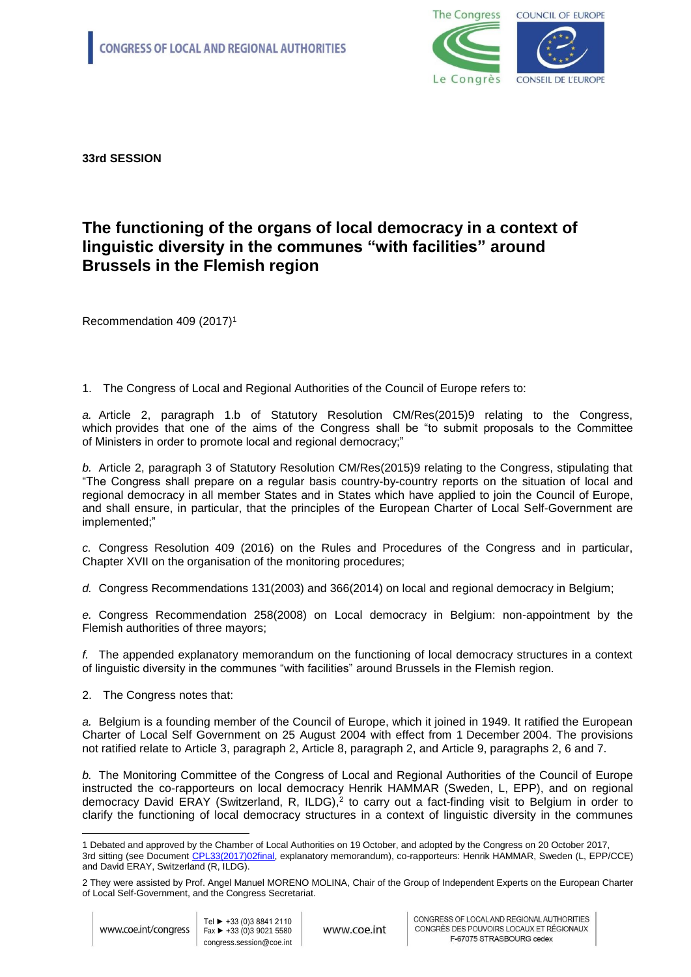

**33rd SESSION**

## **The functioning of the organs of local democracy in a context of linguistic diversity in the communes "with facilities" around Brussels in the Flemish region**

Recommendation 409 (2017)<sup>1</sup>

1. The Congress of Local and Regional Authorities of the Council of Europe refers to:

*a.* Article 2, paragraph 1.b of Statutory Resolution CM/Res(2015)9 relating to the Congress, which provides that one of the aims of the Congress shall be "to submit proposals to the Committee of Ministers in order to promote local and regional democracy;"

*b.* Article 2, paragraph 3 of Statutory Resolution CM/Res(2015)9 relating to the Congress, stipulating that "The Congress shall prepare on a regular basis country-by-country reports on the situation of local and regional democracy in all member States and in States which have applied to join the Council of Europe, and shall ensure, in particular, that the principles of the European Charter of Local Self-Government are implemented;"

*c.* Congress Resolution 409 (2016) on the Rules and Procedures of the Congress and in particular, Chapter XVII on the organisation of the monitoring procedures;

*d.* Congress Recommendations 131(2003) and 366(2014) on local and regional democracy in Belgium;

*e.* Congress Recommendation 258(2008) on Local democracy in Belgium: non-appointment by the Flemish authorities of three mayors;

*f.* The appended explanatory memorandum on the functioning of local democracy structures in a context of linguistic diversity in the communes "with facilities" around Brussels in the Flemish region.

2. The Congress notes that:

*a.* Belgium is a founding member of the Council of Europe, which it joined in 1949. It ratified the European Charter of Local Self Government on 25 August 2004 with effect from 1 December 2004. The provisions not ratified relate to Article 3, paragraph 2, Article 8, paragraph 2, and Article 9, paragraphs 2, 6 and 7.

*b.* The Monitoring Committee of the Congress of Local and Regional Authorities of the Council of Europe instructed the co-rapporteurs on local democracy Henrik HAMMAR (Sweden, L, EPP), and on regional democracy David ERAY (Switzerland, R, ILDG), 2 to carry out a fact-finding visit to Belgium in order to clarify the functioning of local democracy structures in a context of linguistic diversity in the communes

 $\overline{a}$ 1 Debated and approved by the Chamber of Local Authorities on 19 October, and adopted by the Congress on 20 October 2017, 3rd sitting (see Document [CPL33\(2017\)02final,](http://rm.coe.int/the-functioning-of-the-organs-of-local-democracy-in-a-context-of-lingu/168074fccc) explanatory memorandum), co-rapporteurs: Henrik HAMMAR, Sweden (L, EPP/CCE) and David ERAY, Switzerland (R, ILDG).

<sup>2</sup> They were assisted by Prof. Angel Manuel MORENO MOLINA, Chair of the Group of Independent Experts on the European Charter of Local Self-Government, and the Congress Secretariat.